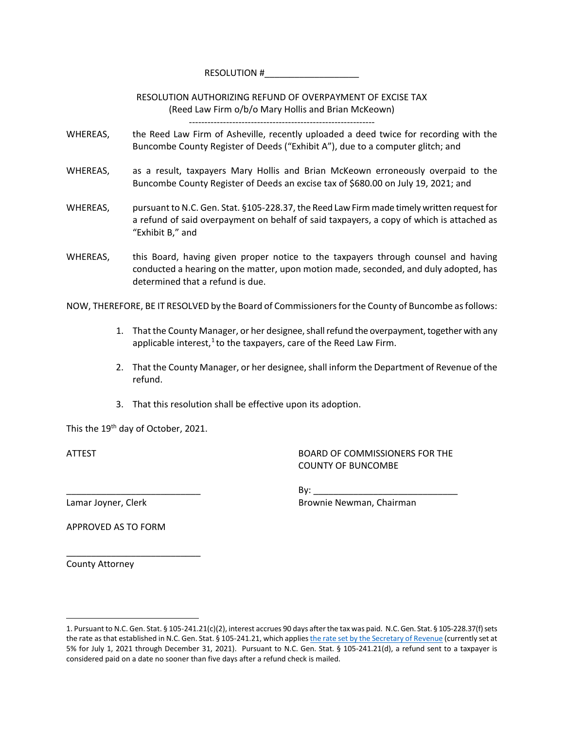RESOLUTION #

RESOLUTION AUTHORIZING REFUND OF OVERPAYMENT OF EXCISE TAX (Reed Law Firm o/b/o Mary Hollis and Brian McKeown)

- WHEREAS, the Reed Law Firm of Asheville, recently uploaded a deed twice for recording with the Buncombe County Register of Deeds ("Exhibit A"), due to a computer glitch; and
- WHEREAS, as a result, taxpayers Mary Hollis and Brian McKeown erroneously overpaid to the Buncombe County Register of Deeds an excise tax of \$680.00 on July 19, 2021; and
- WHEREAS, pursuant to N.C. Gen. Stat. §105-228.37, the Reed Law Firmmade timely written request for a refund of said overpayment on behalf of said taxpayers, a copy of which is attached as "Exhibit B," and
- WHEREAS, this Board, having given proper notice to the taxpayers through counsel and having conducted a hearing on the matter, upon motion made, seconded, and duly adopted, has determined that a refund is due.

NOW, THEREFORE, BE IT RESOLVED by the Board of Commissioners for the County of Buncombe as follows:

- 1. That the County Manager, or her designee, shall refund the overpayment, together with any applicable interest, $1$  to the taxpayers, care of the Reed Law Firm.
- 2. That the County Manager, or her designee, shall inform the Department of Revenue of the refund.
- 3. That this resolution shall be effective upon its adoption.

This the 19<sup>th</sup> day of October, 2021.

ATTEST BOARD OF COMMISSIONERS FOR THE COUNTY OF BUNCOMBE

 $\mathsf{By:}$ Lamar Joyner, Clerk **Brownie Newman, Chairman** 

APPROVED AS TO FORM

\_\_\_\_\_\_\_\_\_\_\_\_\_\_\_\_\_\_\_\_\_\_\_\_\_\_\_

County Attorney

 $\overline{a}$ 

<span id="page-0-0"></span><sup>1.</sup> Pursuant to N.C. Gen. Stat. § 105-241.21(c)(2), interest accrues 90 days after the tax was paid. N.C. Gen. Stat. § 105-228.37(f) sets the rate as that established in N.C. Gen. Stat. § 105-241.21, which applie[s the rate set by the Secretary of](https://www.ncdor.gov/taxes-forms/interest-rate) Revenue (currently set at 5% for July 1, 2021 through December 31, 2021). Pursuant to N.C. Gen. Stat. § 105-241.21(d), a refund sent to a taxpayer is considered paid on a date no sooner than five days after a refund check is mailed.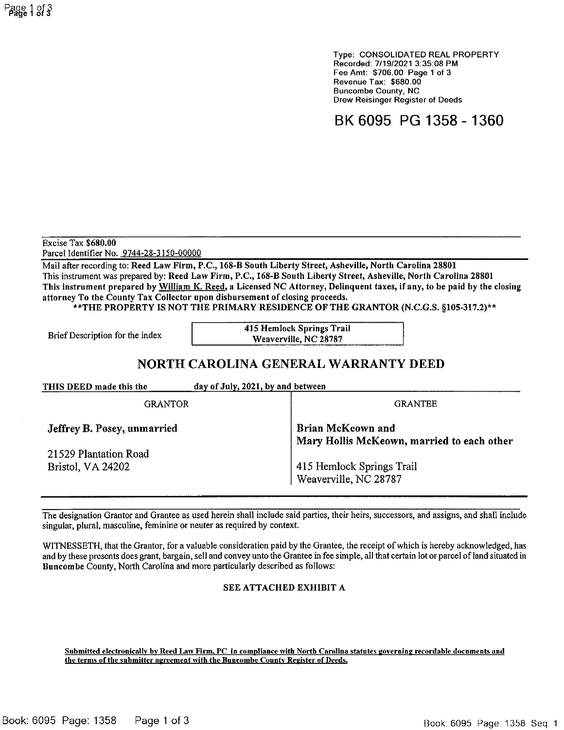Type: CONSOLIDATED REAL PROPERTY Recorded: 7/19/2021 3:35:08 PM Fee Amt: \$706.00 Page 1 of 3 Revenue Tax: \$680.00 **Buncombe County, NC** Drew Reisinger Register of Deeds

BK 6095 PG 1358 - 1360

Excise Tax \$680.00 Parcel Identifier No. 9744-28-3150-00000

Mail after recording to: Reed Law Firm, P.C., 168-B South Liberty Street, Asheville, North Carolina 28801 This instrument was prepared by: Reed Law Firm, P.C., 168-B South Liberty Street, Asheville, North Carolina 28801 This instrument prepared by William K. Reed, a Licensed NC Attorney, Delinquent taxes, if any, to be paid by the closing attorney To the County Tax Collector upon disbursement of closing proceeds.

\*\*THE PROPERTY IS NOT THE PRIMARY RESIDENCE OF THE GRANTOR (N.C.G.S. §105-317.2)\*\*

Brief Description for the index

415 Hemlock Springs Trail Weaverville, NC 28787

## NORTH CAROLINA GENERAL WARRANTY DEED

THIS DEED made this the day of July, 2021, by and between

**GRANTOR** 

Jeffrey B. Posey, unmarried

21529 Plantation Road Bristol, VA 24202

**Brian McKeown and** Mary Hollis McKeown, married to each other

**GRANTEE** 

415 Hemlock Springs Trail Weaverville, NC 28787

The designation Grantor and Grantee as used herein shall include said parties, their heirs, successors, and assigns, and shall include singular, plural, masculine, feminine or neuter as required by context.

WITNESSETH, that the Grantor, for a valuable consideration paid by the Grantee, the receipt of which is hereby acknowledged, has and by these presents does grant, bargain, sell and convey unto the Grantee in fee simple, all that certain lot or parcel of land situated in Buncombe County, North Carolina and more particularly described as follows:

## SEE ATTACHED EXHIBIT A

Submitted electronically by Reed Law Firm, PC in compliance with North Carolina statutes governing recordable documents and the terms of the submitter agreement with the Buncombe County Register of Deeds.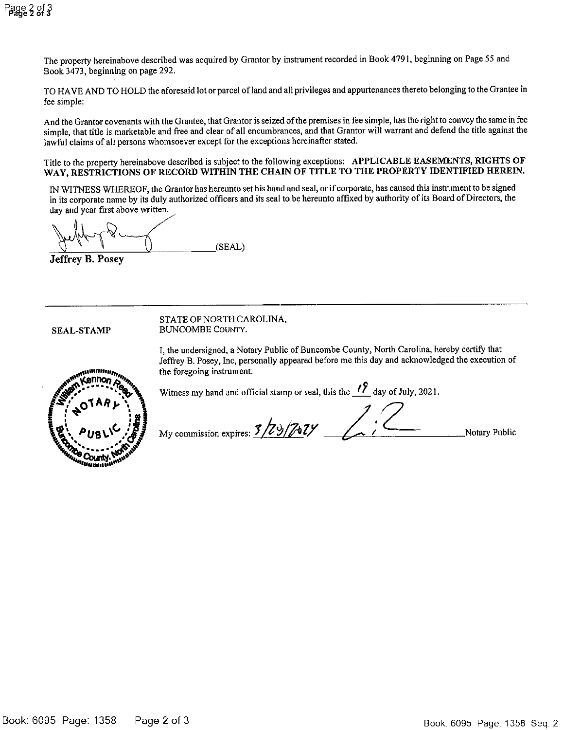The property hereinabove described was acquired by Grantor by instrument recorded in Book 4791, beginning on Page 55 and Book 3473, beginning on page 292.

TO HAVE AND TO HOLD the aforesaid lot or parcel of land and all privileges and appurtenances thereto belonging to the Grantee in fee simple:

And the Grantor covenants with the Grantee, that Grantor is seized of the premises in fee simple, has the right to convey the same in fee simple, that title is marketable and free and clear of all encumbrances, and that Grantor will warrant and defend the title against the lawful claims of all persons whomsoever except for the exceptions hereinafter stated.

Title to the property hereinabove described is subject to the following exceptions: APPLICABLE EASEMENTS, RIGHTS OF WAY, RESTRICTIONS OF RECORD WITHIN THE CHAIN OF TITLE TO THE PROPERTY IDENTIFIED HEREIN.

IN WITNESS WHEREOF, the Grantor has hereunto set his hand and seal, or if corporate, has caused this instrument to be signed in its corporate name by its duly authorized officers and its seal to be hereunto affixed by authority of its Board of Directors, the day and year first above written.

(SEAL)

**Jeffrey B. Posey** 

**SEAL-STAMP** 

STATE OF NORTH CAROLINA, **BUNCOMBE COUNTY.** 

I, the undersigned, a Notary Public of Buncombe County, North Carolina, hereby certify that Jeffrey B. Posey, Inc, personally appeared before me this day and acknowledged the execution of the foregoing instrument.



Witness my hand and official stamp or seal, this the  $\frac{1}{2}$  day of July, 2021.

3/29/7024 My commission expires

Notary Public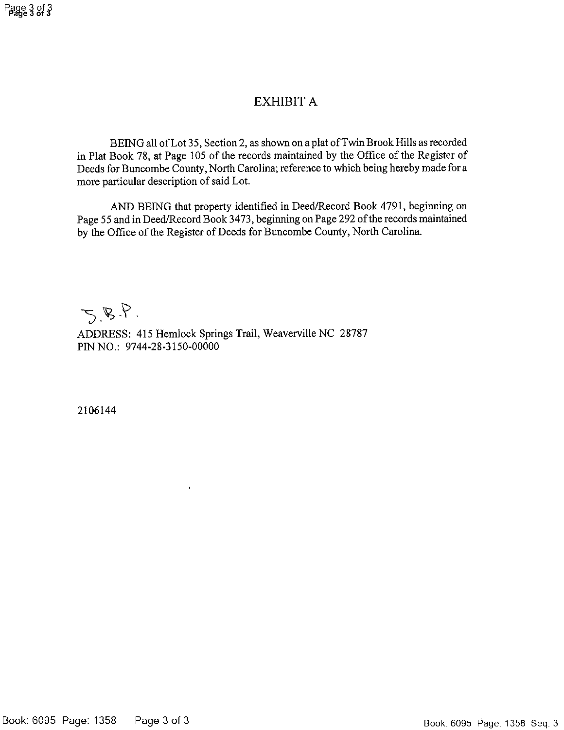## **EXHIBIT A**

BEING all of Lot 35, Section 2, as shown on a plat of Twin Brook Hills as recorded in Plat Book 78, at Page 105 of the records maintained by the Office of the Register of Deeds for Buncombe County, North Carolina; reference to which being hereby made for a more particular description of said Lot.

AND BEING that property identified in Deed/Record Book 4791, beginning on Page 55 and in Deed/Record Book 3473, beginning on Page 292 of the records maintained by the Office of the Register of Deeds for Buncombe County, North Carolina.

 $5.8.8$ .

ADDRESS: 415 Hemlock Springs Trail, Weaverville NC 28787 PIN NO.: 9744-28-3150-00000

2106144